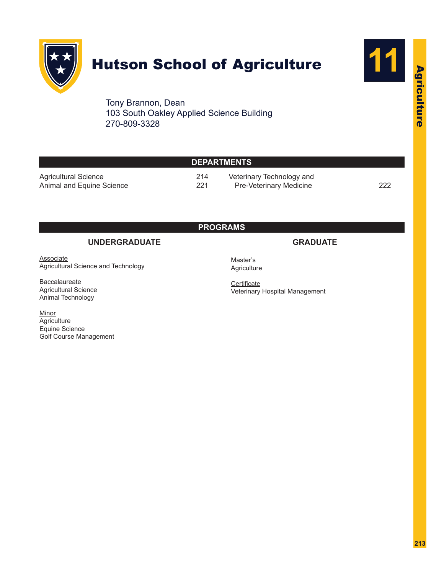

# Hutson School of Agriculture



Tony Brannon, Dean 103 South Oakley Applied Science Building 270-809-3328

|                                                                   | <b>DEPARTMENTS</b> |                                                      |     |
|-------------------------------------------------------------------|--------------------|------------------------------------------------------|-----|
| <b>Agricultural Science</b><br>Animal and Equine Science          | 214<br>221         | Veterinary Technology and<br>Pre-Veterinary Medicine | 222 |
|                                                                   | <b>PROGRAMS</b>    |                                                      |     |
| <b>UNDERGRADUATE</b>                                              |                    | <b>GRADUATE</b>                                      |     |
| <b>Associate</b><br>Agricultural Science and Technology           |                    | Master's<br>Agriculture                              |     |
| Baccalaureate<br><b>Agricultural Science</b><br>Animal Technology |                    | Certificate<br>Veterinary Hospital Management        |     |
| Minor<br>Agriculture<br>Equine Science<br>Golf Course Management  |                    |                                                      |     |
|                                                                   |                    |                                                      |     |
|                                                                   |                    |                                                      |     |
|                                                                   |                    |                                                      |     |
|                                                                   |                    |                                                      |     |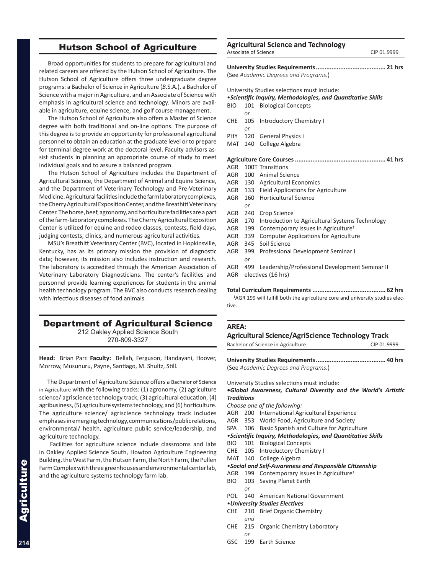# Hutson School of Agriculture

Broad opportunities for students to prepare for agricultural and related careers are offered by the Hutson School of Agriculture. The Hutson School of Agriculture offers three undergraduate degree programs: a Bachelor of Science in Agriculture (*B*.S.A.), a Bachelor of Science with a major in Agriculture, and an Associate of Science with emphasis in agricultural science and technology. Minors are available in agriculture, equine science, and golf course management.

The Hutson School of Agriculture also offers a Master of Science degree with both traditional and on-line options. The purpose of this degree is to provide an opportunity for professional agricultural personnel to obtain an education at the graduate level or to prepare for terminal degree work at the doctoral level. Faculty advisors assist students in planning an appropriate course of study to meet individual goals and to assure a balanced program.

The Hutson School of Agriculture includes the Department of Agricultural Science, the Department of Animal and Equine Science, and the Department of Veterinary Technology and Pre-Veterinary Medicine. Agricultural facilities include the farm laboratory complexes, the Cherry Agricultural Exposition Center, and the Breathitt Veterinary Center. The horse, beef, agronomy, and horticulture facilities are a part of the farm-laboratory complexes. The Cherry Agricultural Exposition Center is utilized for equine and rodeo classes, contests, field days, judging contests, clinics, and numerous agricultural activities.

MSU's Breathitt Veterinary Center (BVC), located in Hopkinsville, Kentucky, has as its primary mission the provision of diagnostic data; however, its mission also includes instruction and research. The laboratory is accredited through the American Association of Veterinary Laboratory Diagnosticians. The center's facilities and personnel provide learning experiences for students in the animal health technology program. The BVC also conducts research dealing with infectious diseases of food animals.

# Department of Agricultural Science

212 Oakley Applied Science South 270-809-3327

**Head:** Brian Parr. **Faculty:** Bellah, Ferguson, Handayani, Hoover, Morrow, Musunuru, Payne, Santiago, M. Shultz, Still.

The Department of Agriculture Science offers a Bachelor of Science in Agriculture with the following tracks: (1) agronomy, (2) agriculture science/ agriscience technology track, (3) agricultural education, (4) agribusiness, (5) agriculture systems technology, and (6) horticulture. The agriculture science/ agriscience technology track includes emphases in emerging technology, communications/public relations, environmental/ health, agriculture public service/leadership, and agriculture technology.

 Facilities for agriculture science include classrooms and labs in Oakley Applied Science South, Howton Agriculture Engineering Building, the West Farm, the Hutson Farm, the North Farm, the Pullen Farm Complex with three greenhouses and environmental center lab, and the agriculture systems technology farm lab.

#### **Agricultural Science and Technology** Associate of Science CIP 01.9999

| (Soo Academic Degrees and Drograms) |  |
|-------------------------------------|--|

(See *Academic Degrees and Programs.*)

# University Studies selections must include:

|     |            | <b>OTHVCLOILY OLGGILD SCILLELIOIS HIGSL INCIGAL</b>          |
|-----|------------|--------------------------------------------------------------|
|     |            | • Scientific Inquiry, Methodologies, and Quantitative Skills |
| BIO |            | 101 Biological Concepts                                      |
|     | or         |                                                              |
| CHE |            | 105 Introductory Chemistry I                                 |
|     | $\alpha r$ |                                                              |
|     |            | PHY 120 General Physics I                                    |
|     |            | MAT 140 College Algebra                                      |
|     |            |                                                              |
|     |            | <b>AGR</b> 100T Transitions                                  |
|     |            | AGR 100 Animal Science                                       |
|     |            | AGR 130 Agricultural Economics                               |
|     |            | AGR 133 Field Applications for Agriculture                   |
| AGR | 160        | <b>Horticultural Science</b>                                 |
|     | or         |                                                              |
| AGR | 240        | Crop Science                                                 |
| AGR | 170        | Introduction to Agricultural Systems Technology              |
| AGR | 199        | Contemporary Issues in Agriculture <sup>1</sup>              |
| AGR | 339        | <b>Computer Applications for Agriculture</b>                 |
| AGR | 345        | Soil Science                                                 |
| AGR | 399        | Professional Development Seminar I                           |
|     | or         |                                                              |
|     |            | AGR 499 Leadership/Professional Development Seminar II       |
|     |            | AGR electives (16 hrs)                                       |
|     |            | Tetel Counterbose Beauticaceants<br>$\sim$ $\sim$            |

**Total Curriculum Requirements .......................................... 62 hrs** <sup>1</sup>AGR 199 will fulfill both the agriculture core and university studies elective.

#### **AREA:**

**Agricultural Science/AgriScience Technology Track**

| Bachelor of Science in Agriculture | CIP 01.9999 |
|------------------------------------|-------------|
|------------------------------------|-------------|

**University Studies Requirements........................................ 40 hrs** (See *Academic Degrees and Programs.*)

University Studies selections must include:

#### **•***Global Awareness, Cultural Diversity and the World's Artistic Traditions*

- *Choose one of the following:*
- AGR 200 International Agricultural Experience
- AGR 353 World Food, Agriculture and Society
- SPA 106 Basic Spanish and Culture for Agriculture
- •*Scientific Inquiry, Methodologies, and Quantitative Skills*
- BIO 101 Biological Concepts
- CHE 105 Introductory Chemistry I
- MAT 140 College Algebra

#### •*Social and Self-Awareness and Responsible Citizenship*

- AGR 199 Contemporary Issues in Agriculture<sup>1</sup>
- BIO 103 Saving Planet Earth
	- *or*
- POL 140 American National Government

### •*University Studies Electives*

- CHE 210 Brief Organic Chemistry *and*
- CHE 215 Organic Chemistry Laboratory
- GSC 199 Earth Science

*or*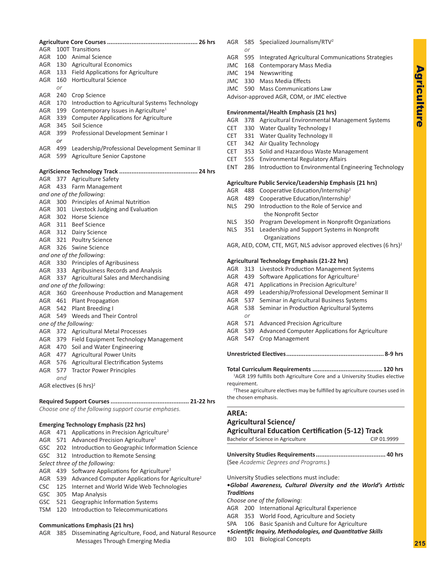| AGR<br>100T Transitions<br>AGR<br>100 Animal Science<br>AGR<br>130 Agricultural Economics<br>133 Field Applications for Agriculture<br>AGR<br>160 Horticultural Science<br>AGR<br>or<br>AGR<br>240<br>Crop Science<br>Introduction to Agricultural Systems Technology<br>AGR<br>170<br>Contemporary Issues in Agriculture <sup>1</sup><br>AGR<br>199<br><b>Computer Applications for Agriculture</b><br>AGR<br>339<br>Soil Science<br>AGR<br>345<br>AGR<br>399<br>Professional Development Seminar I<br>or<br>AGR<br>499<br>Leadership/Professional Development Seminar II<br>Agriculture Senior Capstone<br>AGR<br>599<br>377 Agriculture Safety<br>AGR<br>AGR.<br>433 Farm Management<br>and one of the following:<br>AGR 300 Principles of Animal Nutrition<br>301 Livestock Judging and Evaluation<br>AGR<br>AGR 302 Horse Science<br>AGR 311 Beef Science<br>AGR 312 Dairy Science<br>321 Poultry Science<br>AGR<br>326 Swine Science<br>AGR<br>and one of the following:<br>AGR 330 Principles of Agribusiness<br>333 Agribusiness Records and Analysis<br>AGR<br><b>Agricultural Sales and Merchandising</b><br>AGR<br>337<br>and one of the following:<br>360 Greenhouse Production and Management<br>AGR<br>AGR<br>461 Plant Propagation<br>AGR<br>542<br>Plant Breeding I<br>549 Weeds and Their Control<br>AGR<br>one of the following:<br>AGR 372 Agricultural Metal Processes<br>AGR<br>379<br>Field Equipment Technology Management<br>Soil and Water Engineering<br>AGR<br>470<br><b>Agricultural Power Units</b><br>AGR<br>477<br>Agricultural Electrification Systems<br>AGR<br>576<br><b>Tractor Power Principles</b><br>AGR<br>577<br>and<br>AGR electives (6 hrs) <sup>2</sup><br>Choose one of the following support course emphases. |  |  |  |  |
|------------------------------------------------------------------------------------------------------------------------------------------------------------------------------------------------------------------------------------------------------------------------------------------------------------------------------------------------------------------------------------------------------------------------------------------------------------------------------------------------------------------------------------------------------------------------------------------------------------------------------------------------------------------------------------------------------------------------------------------------------------------------------------------------------------------------------------------------------------------------------------------------------------------------------------------------------------------------------------------------------------------------------------------------------------------------------------------------------------------------------------------------------------------------------------------------------------------------------------------------------------------------------------------------------------------------------------------------------------------------------------------------------------------------------------------------------------------------------------------------------------------------------------------------------------------------------------------------------------------------------------------------------------------------------------------------------------------------------------------------------------|--|--|--|--|
|                                                                                                                                                                                                                                                                                                                                                                                                                                                                                                                                                                                                                                                                                                                                                                                                                                                                                                                                                                                                                                                                                                                                                                                                                                                                                                                                                                                                                                                                                                                                                                                                                                                                                                                                                            |  |  |  |  |
|                                                                                                                                                                                                                                                                                                                                                                                                                                                                                                                                                                                                                                                                                                                                                                                                                                                                                                                                                                                                                                                                                                                                                                                                                                                                                                                                                                                                                                                                                                                                                                                                                                                                                                                                                            |  |  |  |  |
|                                                                                                                                                                                                                                                                                                                                                                                                                                                                                                                                                                                                                                                                                                                                                                                                                                                                                                                                                                                                                                                                                                                                                                                                                                                                                                                                                                                                                                                                                                                                                                                                                                                                                                                                                            |  |  |  |  |
|                                                                                                                                                                                                                                                                                                                                                                                                                                                                                                                                                                                                                                                                                                                                                                                                                                                                                                                                                                                                                                                                                                                                                                                                                                                                                                                                                                                                                                                                                                                                                                                                                                                                                                                                                            |  |  |  |  |
|                                                                                                                                                                                                                                                                                                                                                                                                                                                                                                                                                                                                                                                                                                                                                                                                                                                                                                                                                                                                                                                                                                                                                                                                                                                                                                                                                                                                                                                                                                                                                                                                                                                                                                                                                            |  |  |  |  |
|                                                                                                                                                                                                                                                                                                                                                                                                                                                                                                                                                                                                                                                                                                                                                                                                                                                                                                                                                                                                                                                                                                                                                                                                                                                                                                                                                                                                                                                                                                                                                                                                                                                                                                                                                            |  |  |  |  |
|                                                                                                                                                                                                                                                                                                                                                                                                                                                                                                                                                                                                                                                                                                                                                                                                                                                                                                                                                                                                                                                                                                                                                                                                                                                                                                                                                                                                                                                                                                                                                                                                                                                                                                                                                            |  |  |  |  |
|                                                                                                                                                                                                                                                                                                                                                                                                                                                                                                                                                                                                                                                                                                                                                                                                                                                                                                                                                                                                                                                                                                                                                                                                                                                                                                                                                                                                                                                                                                                                                                                                                                                                                                                                                            |  |  |  |  |
|                                                                                                                                                                                                                                                                                                                                                                                                                                                                                                                                                                                                                                                                                                                                                                                                                                                                                                                                                                                                                                                                                                                                                                                                                                                                                                                                                                                                                                                                                                                                                                                                                                                                                                                                                            |  |  |  |  |
|                                                                                                                                                                                                                                                                                                                                                                                                                                                                                                                                                                                                                                                                                                                                                                                                                                                                                                                                                                                                                                                                                                                                                                                                                                                                                                                                                                                                                                                                                                                                                                                                                                                                                                                                                            |  |  |  |  |
|                                                                                                                                                                                                                                                                                                                                                                                                                                                                                                                                                                                                                                                                                                                                                                                                                                                                                                                                                                                                                                                                                                                                                                                                                                                                                                                                                                                                                                                                                                                                                                                                                                                                                                                                                            |  |  |  |  |
|                                                                                                                                                                                                                                                                                                                                                                                                                                                                                                                                                                                                                                                                                                                                                                                                                                                                                                                                                                                                                                                                                                                                                                                                                                                                                                                                                                                                                                                                                                                                                                                                                                                                                                                                                            |  |  |  |  |
|                                                                                                                                                                                                                                                                                                                                                                                                                                                                                                                                                                                                                                                                                                                                                                                                                                                                                                                                                                                                                                                                                                                                                                                                                                                                                                                                                                                                                                                                                                                                                                                                                                                                                                                                                            |  |  |  |  |
|                                                                                                                                                                                                                                                                                                                                                                                                                                                                                                                                                                                                                                                                                                                                                                                                                                                                                                                                                                                                                                                                                                                                                                                                                                                                                                                                                                                                                                                                                                                                                                                                                                                                                                                                                            |  |  |  |  |
|                                                                                                                                                                                                                                                                                                                                                                                                                                                                                                                                                                                                                                                                                                                                                                                                                                                                                                                                                                                                                                                                                                                                                                                                                                                                                                                                                                                                                                                                                                                                                                                                                                                                                                                                                            |  |  |  |  |
|                                                                                                                                                                                                                                                                                                                                                                                                                                                                                                                                                                                                                                                                                                                                                                                                                                                                                                                                                                                                                                                                                                                                                                                                                                                                                                                                                                                                                                                                                                                                                                                                                                                                                                                                                            |  |  |  |  |
|                                                                                                                                                                                                                                                                                                                                                                                                                                                                                                                                                                                                                                                                                                                                                                                                                                                                                                                                                                                                                                                                                                                                                                                                                                                                                                                                                                                                                                                                                                                                                                                                                                                                                                                                                            |  |  |  |  |
|                                                                                                                                                                                                                                                                                                                                                                                                                                                                                                                                                                                                                                                                                                                                                                                                                                                                                                                                                                                                                                                                                                                                                                                                                                                                                                                                                                                                                                                                                                                                                                                                                                                                                                                                                            |  |  |  |  |
|                                                                                                                                                                                                                                                                                                                                                                                                                                                                                                                                                                                                                                                                                                                                                                                                                                                                                                                                                                                                                                                                                                                                                                                                                                                                                                                                                                                                                                                                                                                                                                                                                                                                                                                                                            |  |  |  |  |
|                                                                                                                                                                                                                                                                                                                                                                                                                                                                                                                                                                                                                                                                                                                                                                                                                                                                                                                                                                                                                                                                                                                                                                                                                                                                                                                                                                                                                                                                                                                                                                                                                                                                                                                                                            |  |  |  |  |
|                                                                                                                                                                                                                                                                                                                                                                                                                                                                                                                                                                                                                                                                                                                                                                                                                                                                                                                                                                                                                                                                                                                                                                                                                                                                                                                                                                                                                                                                                                                                                                                                                                                                                                                                                            |  |  |  |  |
|                                                                                                                                                                                                                                                                                                                                                                                                                                                                                                                                                                                                                                                                                                                                                                                                                                                                                                                                                                                                                                                                                                                                                                                                                                                                                                                                                                                                                                                                                                                                                                                                                                                                                                                                                            |  |  |  |  |
|                                                                                                                                                                                                                                                                                                                                                                                                                                                                                                                                                                                                                                                                                                                                                                                                                                                                                                                                                                                                                                                                                                                                                                                                                                                                                                                                                                                                                                                                                                                                                                                                                                                                                                                                                            |  |  |  |  |
|                                                                                                                                                                                                                                                                                                                                                                                                                                                                                                                                                                                                                                                                                                                                                                                                                                                                                                                                                                                                                                                                                                                                                                                                                                                                                                                                                                                                                                                                                                                                                                                                                                                                                                                                                            |  |  |  |  |
|                                                                                                                                                                                                                                                                                                                                                                                                                                                                                                                                                                                                                                                                                                                                                                                                                                                                                                                                                                                                                                                                                                                                                                                                                                                                                                                                                                                                                                                                                                                                                                                                                                                                                                                                                            |  |  |  |  |
|                                                                                                                                                                                                                                                                                                                                                                                                                                                                                                                                                                                                                                                                                                                                                                                                                                                                                                                                                                                                                                                                                                                                                                                                                                                                                                                                                                                                                                                                                                                                                                                                                                                                                                                                                            |  |  |  |  |
|                                                                                                                                                                                                                                                                                                                                                                                                                                                                                                                                                                                                                                                                                                                                                                                                                                                                                                                                                                                                                                                                                                                                                                                                                                                                                                                                                                                                                                                                                                                                                                                                                                                                                                                                                            |  |  |  |  |
|                                                                                                                                                                                                                                                                                                                                                                                                                                                                                                                                                                                                                                                                                                                                                                                                                                                                                                                                                                                                                                                                                                                                                                                                                                                                                                                                                                                                                                                                                                                                                                                                                                                                                                                                                            |  |  |  |  |
|                                                                                                                                                                                                                                                                                                                                                                                                                                                                                                                                                                                                                                                                                                                                                                                                                                                                                                                                                                                                                                                                                                                                                                                                                                                                                                                                                                                                                                                                                                                                                                                                                                                                                                                                                            |  |  |  |  |
|                                                                                                                                                                                                                                                                                                                                                                                                                                                                                                                                                                                                                                                                                                                                                                                                                                                                                                                                                                                                                                                                                                                                                                                                                                                                                                                                                                                                                                                                                                                                                                                                                                                                                                                                                            |  |  |  |  |
|                                                                                                                                                                                                                                                                                                                                                                                                                                                                                                                                                                                                                                                                                                                                                                                                                                                                                                                                                                                                                                                                                                                                                                                                                                                                                                                                                                                                                                                                                                                                                                                                                                                                                                                                                            |  |  |  |  |
|                                                                                                                                                                                                                                                                                                                                                                                                                                                                                                                                                                                                                                                                                                                                                                                                                                                                                                                                                                                                                                                                                                                                                                                                                                                                                                                                                                                                                                                                                                                                                                                                                                                                                                                                                            |  |  |  |  |
|                                                                                                                                                                                                                                                                                                                                                                                                                                                                                                                                                                                                                                                                                                                                                                                                                                                                                                                                                                                                                                                                                                                                                                                                                                                                                                                                                                                                                                                                                                                                                                                                                                                                                                                                                            |  |  |  |  |
|                                                                                                                                                                                                                                                                                                                                                                                                                                                                                                                                                                                                                                                                                                                                                                                                                                                                                                                                                                                                                                                                                                                                                                                                                                                                                                                                                                                                                                                                                                                                                                                                                                                                                                                                                            |  |  |  |  |
|                                                                                                                                                                                                                                                                                                                                                                                                                                                                                                                                                                                                                                                                                                                                                                                                                                                                                                                                                                                                                                                                                                                                                                                                                                                                                                                                                                                                                                                                                                                                                                                                                                                                                                                                                            |  |  |  |  |
|                                                                                                                                                                                                                                                                                                                                                                                                                                                                                                                                                                                                                                                                                                                                                                                                                                                                                                                                                                                                                                                                                                                                                                                                                                                                                                                                                                                                                                                                                                                                                                                                                                                                                                                                                            |  |  |  |  |
|                                                                                                                                                                                                                                                                                                                                                                                                                                                                                                                                                                                                                                                                                                                                                                                                                                                                                                                                                                                                                                                                                                                                                                                                                                                                                                                                                                                                                                                                                                                                                                                                                                                                                                                                                            |  |  |  |  |
|                                                                                                                                                                                                                                                                                                                                                                                                                                                                                                                                                                                                                                                                                                                                                                                                                                                                                                                                                                                                                                                                                                                                                                                                                                                                                                                                                                                                                                                                                                                                                                                                                                                                                                                                                            |  |  |  |  |
|                                                                                                                                                                                                                                                                                                                                                                                                                                                                                                                                                                                                                                                                                                                                                                                                                                                                                                                                                                                                                                                                                                                                                                                                                                                                                                                                                                                                                                                                                                                                                                                                                                                                                                                                                            |  |  |  |  |
|                                                                                                                                                                                                                                                                                                                                                                                                                                                                                                                                                                                                                                                                                                                                                                                                                                                                                                                                                                                                                                                                                                                                                                                                                                                                                                                                                                                                                                                                                                                                                                                                                                                                                                                                                            |  |  |  |  |
|                                                                                                                                                                                                                                                                                                                                                                                                                                                                                                                                                                                                                                                                                                                                                                                                                                                                                                                                                                                                                                                                                                                                                                                                                                                                                                                                                                                                                                                                                                                                                                                                                                                                                                                                                            |  |  |  |  |
|                                                                                                                                                                                                                                                                                                                                                                                                                                                                                                                                                                                                                                                                                                                                                                                                                                                                                                                                                                                                                                                                                                                                                                                                                                                                                                                                                                                                                                                                                                                                                                                                                                                                                                                                                            |  |  |  |  |
|                                                                                                                                                                                                                                                                                                                                                                                                                                                                                                                                                                                                                                                                                                                                                                                                                                                                                                                                                                                                                                                                                                                                                                                                                                                                                                                                                                                                                                                                                                                                                                                                                                                                                                                                                            |  |  |  |  |
|                                                                                                                                                                                                                                                                                                                                                                                                                                                                                                                                                                                                                                                                                                                                                                                                                                                                                                                                                                                                                                                                                                                                                                                                                                                                                                                                                                                                                                                                                                                                                                                                                                                                                                                                                            |  |  |  |  |
|                                                                                                                                                                                                                                                                                                                                                                                                                                                                                                                                                                                                                                                                                                                                                                                                                                                                                                                                                                                                                                                                                                                                                                                                                                                                                                                                                                                                                                                                                                                                                                                                                                                                                                                                                            |  |  |  |  |
|                                                                                                                                                                                                                                                                                                                                                                                                                                                                                                                                                                                                                                                                                                                                                                                                                                                                                                                                                                                                                                                                                                                                                                                                                                                                                                                                                                                                                                                                                                                                                                                                                                                                                                                                                            |  |  |  |  |
|                                                                                                                                                                                                                                                                                                                                                                                                                                                                                                                                                                                                                                                                                                                                                                                                                                                                                                                                                                                                                                                                                                                                                                                                                                                                                                                                                                                                                                                                                                                                                                                                                                                                                                                                                            |  |  |  |  |
|                                                                                                                                                                                                                                                                                                                                                                                                                                                                                                                                                                                                                                                                                                                                                                                                                                                                                                                                                                                                                                                                                                                                                                                                                                                                                                                                                                                                                                                                                                                                                                                                                                                                                                                                                            |  |  |  |  |
|                                                                                                                                                                                                                                                                                                                                                                                                                                                                                                                                                                                                                                                                                                                                                                                                                                                                                                                                                                                                                                                                                                                                                                                                                                                                                                                                                                                                                                                                                                                                                                                                                                                                                                                                                            |  |  |  |  |

#### **Emerging Technology Emphasis (22 hrs)** AGR 471 Applications in Precision Agriculture<sup>2</sup> AGR 571 Advanced Precision Agriculture<sup>2</sup> GSC 202 Introduction to Geographic Information Science GSC 312 Introduction to Remote Sensing *Select three of the following:* AGR 439 Software Applications for Agriculture<sup>2</sup> AGR 539 Advanced Computer Applications for Agriculture<sup>2</sup> CSC 125 Internet and World Wide Web Technologies GSC 305 Map Analysis GSC 521 Geographic Information Systems TSM 120 Introduction to Telecommunications

# **Communications Emphasis (21 hrs)**

AGR 385 Disseminating Agriculture, Food, and Natural Resource Messages Through Emerging Media

- AGR 585 Specialized Journalism/RTV<sup>2</sup>
	- *or*
- AGR 595 Integrated Agricultural Communications Strategies
- JMC 168 Contemporary Mass Media
- JMC 194 Newswriting
- JMC 330 Mass Media Effects JMC 590 Mass Communications Law
- Advisor-approved AGR, COM, or JMC elective

- **Environmental/Health Emphasis (21 hrs)** AGR 378 Agricultural Environmental Management Systems
- CET 330 Water Quality Technology I
- CET 331 Water Quality Technology II
- CET 342 Air Quality Technology
- CET 353 Solid and Hazardous Waste Management
- CET 555 Environmental Regulatory Affairs
- ENT 286 Introduction to Environmental Engineering Technology

# **Agriculture Public Service/Leadership Emphasis (21 hrs)**

- AGR 488 Cooperative Education/Internship<sup>2</sup> AGR 489 Cooperative Education/Internship<sup>2</sup> NLS 290 Introduction to the Role of Service and
- the Nonprofit Sector
- NLS 350 Program Development in Nonprofit Organizations
- NLS 351 Leadership and Support Systems in Nonprofit **Organizations**
- AGR, AED, COM, CTE, MGT, NLS advisor approved electives (6 hrs)2

# **Agricultural Technology Emphasis (21-22 hrs)**

|     |     | Agricultural Technology Emphasis (21-22 hrs)           |  |  |
|-----|-----|--------------------------------------------------------|--|--|
| AGR |     | 313 Livestock Production Management Systems            |  |  |
| AGR |     | 439 Software Applications for Agriculture <sup>2</sup> |  |  |
| AGR | 471 | Applications in Precision Agriculture <sup>2</sup>     |  |  |
| AGR | 499 | Leadership/Professional Development Seminar II         |  |  |
| AGR | 537 | Seminar in Agricultural Business Systems               |  |  |
| AGR |     | 538 Seminar in Production Agricultural Systems         |  |  |
|     | or  |                                                        |  |  |
|     |     | AGR 571 Advanced Precision Agriculture                 |  |  |
|     |     | AGR 539 Advanced Computer Applications for Agriculture |  |  |
| AGR | 547 | Crop Management                                        |  |  |
|     |     |                                                        |  |  |
|     |     |                                                        |  |  |

<sup>1</sup>AGR 199 fulfills both Agriculture Core and a University Studies elective requirement.

<sup>2</sup>These agriculture electives may be fulfilled by agriculture courses used in the chosen emphasis.

### **AREA:**

# **Agricultural Science/**

**Agricultural Education Certification (5-12) Track**

Bachelor of Science in Agriculture CIP 01.9999

**University Studies Requirements........................................ 40 hrs** (See *Academic Degrees and Programs.*)

University Studies selections must include:

**•***Global Awareness, Cultural Diversity and the World's Artistic Traditions*

*Choose one of the following:*

- AGR 200 International Agricultural Experience
- AGR 353 World Food, Agriculture and Society

SPA 106 Basic Spanish and Culture for Agriculture

# •*Scientific Inquiry, Methodologies, and Quantitative Skills*

BIO 101 Biological Concepts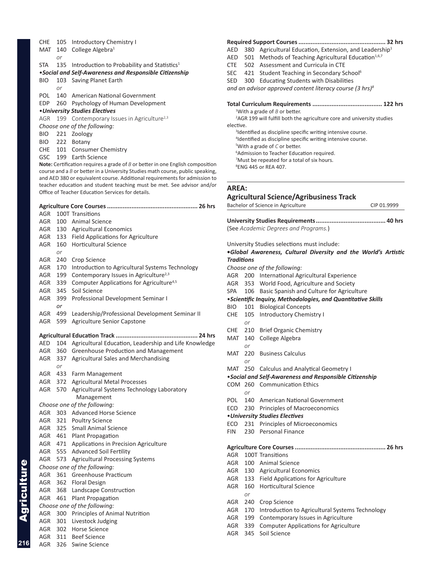| <b>CHE</b> | 105                                                                              | Introductory Chemistry I                                                                                                                                           |
|------------|----------------------------------------------------------------------------------|--------------------------------------------------------------------------------------------------------------------------------------------------------------------|
| MAT        | 140                                                                              | College Algebra <sup>1</sup>                                                                                                                                       |
|            | or                                                                               |                                                                                                                                                                    |
| <b>STA</b> | 135                                                                              | Introduction to Probability and Statistics <sup>1</sup>                                                                                                            |
|            |                                                                                  | • Social and Self-Awareness and Responsible Citizenship                                                                                                            |
| <b>BIO</b> | 103                                                                              | Saving Planet Earth                                                                                                                                                |
|            | or                                                                               |                                                                                                                                                                    |
| <b>POL</b> | 140                                                                              | American National Government                                                                                                                                       |
| EDP        |                                                                                  | 260 Psychology of Human Development                                                                                                                                |
|            |                                                                                  | • University Studies Electives                                                                                                                                     |
| AGR        |                                                                                  | 199 Contemporary Issues in Agriculture <sup>2,3</sup>                                                                                                              |
|            |                                                                                  | Choose one of the following:                                                                                                                                       |
|            |                                                                                  | Zoology                                                                                                                                                            |
|            |                                                                                  |                                                                                                                                                                    |
|            |                                                                                  | CHE 101 Consumer Chemistry                                                                                                                                         |
|            |                                                                                  | 199 Earth Science                                                                                                                                                  |
|            |                                                                                  | Note: Certification requires a grade of $B$ or better in one English composition<br>course and a B or better in a University Studies math course, public speaking, |
|            |                                                                                  | and AED 380 or equivalent course. Additional requirements for admission to                                                                                         |
|            |                                                                                  | teacher education and student teaching must be met. See advisor and/or                                                                                             |
|            |                                                                                  | Office of Teacher Education Services for details.                                                                                                                  |
|            |                                                                                  |                                                                                                                                                                    |
|            |                                                                                  |                                                                                                                                                                    |
|            |                                                                                  | 100T Transitions                                                                                                                                                   |
|            |                                                                                  | 100 Animal Science                                                                                                                                                 |
|            |                                                                                  | 130 Agricultural Economics                                                                                                                                         |
|            |                                                                                  | 133 Field Applications for Agriculture                                                                                                                             |
|            |                                                                                  | 160 Horticultural Science                                                                                                                                          |
|            |                                                                                  |                                                                                                                                                                    |
|            |                                                                                  | Crop Science                                                                                                                                                       |
|            |                                                                                  | Introduction to Agricultural Systems Technology                                                                                                                    |
|            |                                                                                  | Contemporary Issues in Agriculture <sup>2,3</sup>                                                                                                                  |
|            | <b>BIO</b><br><b>GSC</b><br>AGR<br>AGR<br>AGR<br>AGR<br>AGR<br>AGR<br>AGR<br>AGR | 221<br>BIO 222 Botany<br>or<br>240<br>170<br>199                                                                                                                   |

|    | AGR 339 Computer Applications for Agriculture <sup>4,5</sup> |
|----|--------------------------------------------------------------|
|    | AGR 345 Soil Science                                         |
|    | AGR 399 Professional Development Seminar I                   |
| or |                                                              |
|    | AGR 499 Leadership/Professional Development Seminar II       |

AGR 599 Agriculture Senior Capstone

#### **Agricultural Education Track ............................................... 24 hrs**

|     |         | בווו 24 וויי                                              |
|-----|---------|-----------------------------------------------------------|
| AED |         | 104 Agricultural Education, Leadership and Life Knowledge |
|     |         | AGR 360 Greenhouse Production and Management              |
| AGR | 337     | Agricultural Sales and Merchandising                      |
|     | or      |                                                           |
| AGR | 433     | Farm Management                                           |
| AGR |         | 372 Agricultural Metal Processes                          |
|     |         | AGR 570 Agricultural Systems Technology Laboratory        |
|     |         | Management                                                |
|     |         | Choose one of the following:                              |
| AGR |         | 303 Advanced Horse Science                                |
|     |         | AGR 321 Poultry Science                                   |
|     |         | AGR 325 Small Animal Science                              |
|     |         | AGR 461 Plant Propagation                                 |
|     |         | AGR 471 Applications in Precision Agriculture             |
|     |         | AGR 555 Advanced Soil Fertility                           |
|     | AGR 573 | <b>Agricultural Processing Systems</b>                    |
|     |         | Choose one of the following:                              |
|     |         | AGR 361 Greenhouse Practicum                              |
|     |         | AGR 362 Floral Design                                     |
|     |         | AGR 368 Landscape Construction                            |
| AGR | 461     | Plant Propagation                                         |
|     |         | Choose one of the following:                              |
|     |         | AGR 300 Principles of Animal Nutrition                    |
|     |         | AGR 301 Livestock Judging                                 |
|     |         | AGR 302 Horse Science                                     |
| AGR |         | 311 Beef Science                                          |

Agriculture

**Agriculture** 

**216**

#### **Required Support Courses.................................................. 32 hrs**

AED 380 Agricultural Education, Extension, and Leadership<sup>1</sup>

- AED 501 Methods of Teaching Agricultural Education<sup>1,6,7</sup>
- CTE 502 Assessment and Curricula in CTE
- SEC 421 Student Teaching in Secondary School<sup>6</sup>
- SED 300 Educating Students with Disabilities

*and an advisor approved content literacy course (3 hrs)8*

#### **Total Curriculum Requirements ........................................ 122 hrs**

1 With a grade of *B* or better. <sup>2</sup>AGR 199 will fulfill both the agriculture core and university studies elective.

<sup>3</sup>Identified as discipline specific writing intensive course. Identified as discipline specific writing intensive course. With a grade of *C* or better. Admission to Teacher Education required.

- 7 Must be repeated for a total of six hours.
- 8 ENG 445 or REA 407.

#### **AREA:**

**Agricultural Science/Agribusiness Track** Bachelor of Science in Agriculture CIP 01.9999 **University Studies Requirements........................................ 40 hrs** (See *Academic Degrees and Programs.*) University Studies selections must include: **•***Global Awareness, Cultural Diversity and the World's Artistic Traditions Choose one of the following:* AGR 200 International Agricultural Experience AGR 353 World Food, Agriculture and Society SPA 106 Basic Spanish and Culture for Agriculture •*Scientific Inquiry, Methodologies, and Quantitative Skills* BIO 101 Biological Concepts CHE 105 Introductory Chemistry I *or* CHE 210 Brief Organic Chemistry MAT 140 College Algebra *or* MAT 220 Business Calculus *or* MAT 250 Calculus and Analytical Geometry I •*Social and Self-Awareness and Responsible Citizenship* COM 260 Communication Ethics *or* POL 140 American National Government ECO 230 Principles of Macroeconomics •*University Studies Electives* ECO 231 Principles of Microeconomics FIN 230 Personal Finance

#### **Agriculture Core Courses.................................................... 26 hrs**

- AGR 100T Transitions AGR 100 Animal Science AGR 130 Agricultural Economics AGR 133 Field Applications for Agriculture
- AGR 160 Horticultural Science *or*
- AGR 240 Crop Science
- AGR 170 Introduction to Agricultural Systems Technology
- AGR 199 Contemporary Issues in Agriculture
- AGR 339 Computer Applications for Agriculture
- AGR 345 Soil Science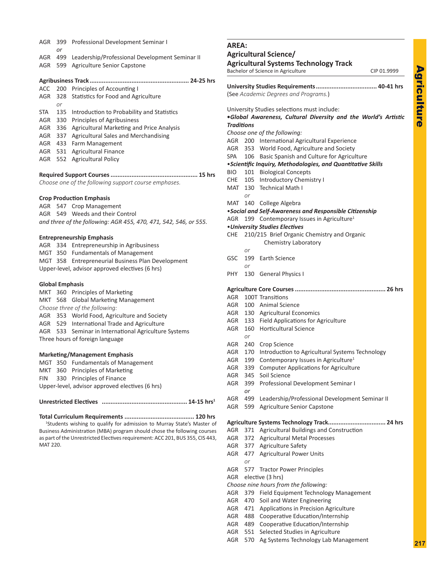| ٠ |  |
|---|--|
|   |  |
|   |  |
|   |  |
|   |  |
|   |  |
|   |  |
|   |  |
|   |  |

 $\blacktriangleright$ 

| AGR        | 399<br>or | Professional Development Seminar I                                               |
|------------|-----------|----------------------------------------------------------------------------------|
|            | AGR 499   | Leadership/Professional Development Seminar II                                   |
| AGR        | 599       | <b>Agriculture Senior Capstone</b>                                               |
|            |           |                                                                                  |
|            |           |                                                                                  |
| ACC        |           | 200 Principles of Accounting I                                                   |
| AGR        | 328       | Statistics for Food and Agriculture                                              |
| STA        | or<br>135 |                                                                                  |
|            |           | Introduction to Probability and Statistics<br>AGR 330 Principles of Agribusiness |
|            |           | AGR 336 Agricultural Marketing and Price Analysis                                |
|            |           |                                                                                  |
|            |           | AGR 337 Agricultural Sales and Merchandising                                     |
|            |           | AGR 433 Farm Management                                                          |
|            |           | AGR 531 Agricultural Finance                                                     |
| AGR        | 552       | <b>Agricultural Policy</b>                                                       |
|            |           | ………. 15 hrs                                                                      |
|            |           | Choose one of the following support course emphases.                             |
|            |           |                                                                                  |
|            |           | <b>Crop Production Emphasis</b>                                                  |
|            | AGR 547   | <b>Crop Management</b>                                                           |
| AGR        |           | 549 Weeds and their Control                                                      |
|            |           | and three of the following: AGR 455, 470, 471, 542, 546, or 555.                 |
|            |           | <b>Entrepreneurship Emphasis</b>                                                 |
| AGR        |           | 334 Entrepreneurship in Agribusiness                                             |
|            |           | MGT 350 Fundamentals of Management                                               |
| MGT        |           | 358 Entrepreneurial Business Plan Development                                    |
|            |           | Upper-level, advisor approved electives (6 hrs)                                  |
|            |           |                                                                                  |
|            |           | <b>Global Emphasis</b>                                                           |
| MKT        | 360       | Principles of Marketing                                                          |
| MKT        | 568       | <b>Global Marketing Management</b>                                               |
|            |           | Choose three of the following:                                                   |
|            |           | AGR 353 World Food, Agriculture and Society                                      |
|            |           | AGR 529 International Trade and Agriculture                                      |
|            | AGR 533   | Seminar in International Agriculture Systems                                     |
|            |           | Three hours of foreign language                                                  |
|            |           | <b>Marketing/Management Emphasis</b>                                             |
|            |           | MGT 350 Fundamentals of Management                                               |
| <b>MKT</b> |           | 360 Principles of Marketing                                                      |
| <b>FIN</b> |           | 330 Principles of Finance                                                        |
|            |           | Upper-level, advisor approved electives (6 hrs)                                  |
|            |           |                                                                                  |
|            |           |                                                                                  |

**Total Curriculum Requirements ........................................ 120 hrs** <sup>1</sup>Students wishing to qualify for admission to Murray State's Master of Business Administration (MBA) program should chose the following courses as part of the Unrestricted Electives requirement: ACC 201, BUS 355, CIS 443, MAT 220.

# **AREA:**

**Agricultural Science/**

# **Agricultural Systems Technology Track**

Bachelor of Science in Agriculture CIP 01.9999

|                   |     | (See Academic Degrees and Programs.)                                                                          |
|-------------------|-----|---------------------------------------------------------------------------------------------------------------|
|                   |     | University Studies selections must include:<br>.Global Awareness, Cultural Diversity and the World's Artistic |
| <b>Traditions</b> |     |                                                                                                               |
|                   |     | Choose one of the following:                                                                                  |
| AGR               |     | 200 International Agricultural Experience                                                                     |
| AGR               |     | 353 World Food, Agriculture and Society                                                                       |
| <b>SPA</b>        |     | 106 Basic Spanish and Culture for Agriculture                                                                 |
|                   |     | · Scientific Inquiry, Methodologies, and Quantitative Skills                                                  |
| <b>BIO</b>        |     | 101 Biological Concepts                                                                                       |
|                   |     | CHE 105 Introductory Chemistry I                                                                              |
|                   |     | MAT 130 Technical Math I                                                                                      |
|                   | or  |                                                                                                               |
|                   |     | MAT 140 College Algebra                                                                                       |
|                   |     | • Social and Self-Awareness and Responsible Citizenship                                                       |
| AGR               |     | 199 Contemporary Issues in Agriculture <sup>1</sup>                                                           |
|                   |     | • University Studies Electives                                                                                |
| CHE               |     | 210/215 Brief Organic Chemistry and Organic                                                                   |
|                   |     | Chemistry Laboratory                                                                                          |
|                   | or  |                                                                                                               |
| GSC               |     | 199 Earth Science                                                                                             |
|                   | or  |                                                                                                               |
| PHY.              |     | 130 General Physics I                                                                                         |
|                   |     |                                                                                                               |
| <b>AGR</b>        |     | 100T Transitions                                                                                              |
| AGR               |     | 100 Animal Science                                                                                            |
| AGR               |     | 130 Agricultural Economics                                                                                    |
|                   |     | AGR 133 Field Applications for Agriculture                                                                    |
| AGR               | 160 | <b>Horticultural Science</b>                                                                                  |
|                   | or  |                                                                                                               |
| AGR               | 240 | Crop Science                                                                                                  |
| AGR               | 170 | Introduction to Agricultural Systems Technology                                                               |
| AGR               | 199 | Contemporary Issues in Agriculture <sup>1</sup>                                                               |
| AGR               | 339 | <b>Computer Applications for Agriculture</b>                                                                  |
| AGR               | 345 | Soil Science                                                                                                  |
| AGR               | 399 | Professional Development Seminar I                                                                            |
|                   | or  |                                                                                                               |
| AGR               | 499 | Leadership/Professional Development Seminar II                                                                |
| AGR               | 599 | Agriculture Senior Capstone                                                                                   |
|                   |     |                                                                                                               |
|                   |     |                                                                                                               |
| AGR               |     | 371 Agricultural Buildings and Construction                                                                   |
| AGR               |     | 372 Agricultural Metal Processes                                                                              |
| AGR               |     | 377 Agriculture Safety                                                                                        |
| <b>AGR</b>        | 477 | <b>Agricultural Power Units</b>                                                                               |
|                   | or  |                                                                                                               |
| <b>AGR</b>        | 577 | <b>Tractor Power Principles</b>                                                                               |
| <b>AGR</b>        |     | elective (3 hrs)                                                                                              |
|                   |     | Choose nine hours from the following:                                                                         |
| AGR               | 379 | Field Equipment Technology Management                                                                         |
| AGR               | 470 | Soil and Water Engineering                                                                                    |
| AGR               | 471 | Applications in Precision Agriculture                                                                         |
| AGR               | 488 | Cooperative Education/Internship                                                                              |
| <b>AGR</b>        | 489 | Cooperative Education/Internship                                                                              |
| <b>AGR</b>        | 551 | Selected Studies in Agriculture                                                                               |
| <b>AGR</b>        | 570 | Ag Systems Technology Lab Management                                                                          |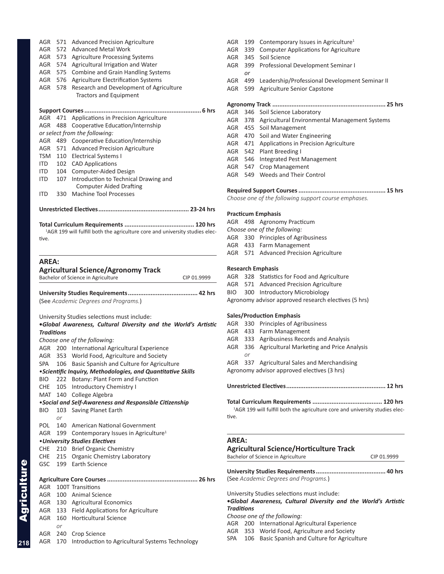| AGR                                      | 572     | <b>Advanced Metal Work</b>                                                               |
|------------------------------------------|---------|------------------------------------------------------------------------------------------|
| AGR                                      | 573     | <b>Agriculture Processing Systems</b>                                                    |
| AGR                                      |         | 574 Agricultural Irrigation and Water                                                    |
|                                          | AGR 575 | <b>Combine and Grain Handling Systems</b>                                                |
| AGR                                      | 576     | Agriculture Electrification Systems                                                      |
| AGR                                      | 578     | Research and Development of Agriculture                                                  |
|                                          |         | <b>Tractors and Equipment</b>                                                            |
|                                          |         |                                                                                          |
|                                          |         | 6 hrs                                                                                    |
| AGR                                      | 471     | Applications in Precision Agriculture                                                    |
| AGR.                                     | 488     | Cooperative Education/Internship                                                         |
|                                          |         | or select from the following:                                                            |
| AGR                                      | 489     | Cooperative Education/Internship                                                         |
|                                          |         | AGR 571 Advanced Precision Agriculture                                                   |
| TSM                                      |         | 110 Electrical Systems I                                                                 |
| ITD                                      |         | 102 CAD Applications                                                                     |
| ITD.                                     |         | 104 Computer-Aided Design                                                                |
| ITD.                                     | 107     | Introduction to Technical Drawing and                                                    |
|                                          |         | <b>Computer Aided Drafting</b>                                                           |
| <b>ITD</b>                               | 330     | <b>Machine Tool Processes</b>                                                            |
|                                          |         |                                                                                          |
|                                          |         |                                                                                          |
|                                          |         |                                                                                          |
|                                          |         | <sup>1</sup> AGR 199 will fulfill both the agriculture core and university studies elec- |
| tive.                                    |         |                                                                                          |
|                                          |         |                                                                                          |
| <b>AREA:</b>                             |         |                                                                                          |
|                                          |         | <b>Agricultural Science/Agronomy Track</b>                                               |
|                                          |         | Bachelor of Science in Agriculture<br>CIP 01.9999                                        |
|                                          |         |                                                                                          |
|                                          |         |                                                                                          |
|                                          |         | (See Academic Degrees and Programs.)                                                     |
|                                          |         |                                                                                          |
|                                          |         | University Studies selections must include:                                              |
|                                          |         | .Global Awareness, Cultural Diversity and the World's Artistic                           |
| <b>Traditions</b>                        |         |                                                                                          |
|                                          |         | Choose one of the following:                                                             |
| AGR                                      |         | 200 International Agricultural Experience                                                |
| AGR                                      |         | 353 World Food, Agriculture and Society                                                  |
|                                          | 106     | Basic Spanish and Culture for Agriculture                                                |
|                                          |         | <i><b>•Scientific Inquiry, Methodologies, and Quantitative Skills</b></i>                |
|                                          |         | 222 Botany: Plant Form and Function                                                      |
|                                          |         | 105 Introductory Chemistry I                                                             |
|                                          |         | 140 College Algebra                                                                      |
|                                          |         | •Social and Self-Awareness and Responsible Citizenship                                   |
|                                          | 103     | Saving Planet Earth                                                                      |
| SPA<br>BIO.<br><b>CHE</b><br>MAT<br>BIO. | or      |                                                                                          |
| POL.                                     |         | 140 American National Government                                                         |
| AGR                                      |         | 199 Contemporary Issues in Agriculture <sup>1</sup>                                      |
|                                          |         | • University Studies Electives                                                           |
| CHE                                      |         | 210 Brief Organic Chemistry                                                              |
|                                          | 215     | <b>Organic Chemistry Laboratory</b>                                                      |
|                                          |         | 199 Earth Science                                                                        |
| CHE<br>GSC                               |         |                                                                                          |
|                                          |         |                                                                                          |
|                                          |         | 100T Transitions                                                                         |
| AGR                                      |         | 100 Animal Science                                                                       |
| AGR                                      |         | 130 Agricultural Economics                                                               |
| AGR                                      |         | 133 Field Applications for Agriculture                                                   |
| AGR                                      |         | 160 Horticultural Science                                                                |
|                                          | or      |                                                                                          |
| AGR<br>AGR                               |         | 240 Crop Science                                                                         |

AGR 571 Advanced Precision Agriculture

| AGR | 199 | Contemporary Issues in Agriculture <sup>1</sup>   |
|-----|-----|---------------------------------------------------|
| AGR | 339 | <b>Computer Applications for Agriculture</b>      |
| AGR |     | 345 Soil Science                                  |
| AGR |     | 399 Professional Development Seminar I            |
|     | or  |                                                   |
| AGR | 499 | Leadership/Professional Development Seminar II    |
| AGR | 599 | Agriculture Senior Capstone                       |
|     |     |                                                   |
|     |     |                                                   |
|     |     | AGR 346 Soil Science Laboratory                   |
| AGR |     | 378 Agricultural Environmental Management Systems |
|     |     | AGR 455 Soil Management                           |
|     |     | AGR 470 Soil and Water Engineering                |
|     |     |                                                   |

- AGR 471 Applications in Precision Agriculture
- AGR 542 Plant Breeding I
- AGR 546 Integrated Pest Management
- AGR 547 Crop Management AGR 549 Weeds and Their Control
- **Required Support Courses.................................................. 15 hrs**

*Choose one of the following support course emphases.*

### **Practicum Emphasis**

AGR 498 Agronomy Practicum *Choose one of the following:* AGR 330 Principles of Agribusiness AGR 433 Farm Management AGR 571 Advanced Precision Agriculture

#### **Research Emphasis**

|  |  | AGR 328 Statistics for Food and Agriculture |  |
|--|--|---------------------------------------------|--|
|--|--|---------------------------------------------|--|

- AGR 571 Advanced Precision Agriculture
- BIO 300 Introductory Microbiology
- Agronomy advisor approved research electives (5 hrs)

#### **Sales/Production Emphasis**

- AGR 330 Principles of Agribusiness
- AGR 433 Farm Management
- AGR 333 Agribusiness Records and Analysis
- AGR 336 Agricultural Marketing and Price Analysis *or*
- AGR 337 Agricultural Sales and Merchandising

Agronomy advisor approved electives (3 hrs)

- **Unrestricted Electives......................................................... 12 hrs**
	-

**Total Curriculum Requirements ........................................ 120 hrs** <sup>1</sup>AGR 199 will fulfill both the agriculture core and university studies elective.

#### **AREA:**

#### **Agricultural Science/Horticulture Track**

Bachelor of Science in Agriculture CIP 01.9999

**University Studies Requirements........................................ 40 hrs** (See *Academic Degrees and Programs.*)

University Studies selections must include:

**•***Global Awareness, Cultural Diversity and the World's Artistic Traditions*

*Choose one of the following:*

- AGR 200 International Agricultural Experience
- AGR 353 World Food, Agriculture and Society
- SPA 106 Basic Spanish and Culture for Agriculture

**218**

Agriculture

**Agriculture**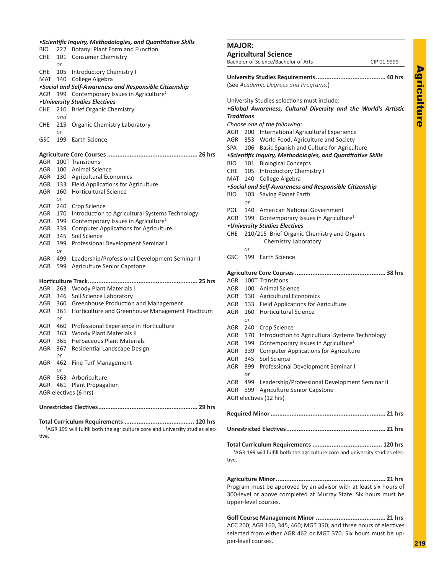| <i><b>•Scientific Inquiry, Methodologies, and Quantitative Skills</b></i> |           |                                                         |  |
|---------------------------------------------------------------------------|-----------|---------------------------------------------------------|--|
| BIO-                                                                      | 222       | Botany: Plant Form and Function                         |  |
| CHE                                                                       | 101       | <b>Consumer Chemistry</b>                               |  |
|                                                                           | or        |                                                         |  |
| CHE                                                                       | 105       | <b>Introductory Chemistry I</b>                         |  |
| MAT                                                                       | 140       | College Algebra                                         |  |
|                                                                           |           | . Social and Self-Awareness and Responsible Citizenship |  |
| AGR                                                                       | 199       | Contemporary Issues in Agriculture <sup>1</sup>         |  |
|                                                                           |           | • University Studies Electives                          |  |
| CHE                                                                       | 210       | <b>Brief Organic Chemistry</b>                          |  |
|                                                                           | and       |                                                         |  |
| CHE                                                                       | 215       | Organic Chemistry Laboratory                            |  |
|                                                                           | or        |                                                         |  |
| GSC                                                                       | 199       | Earth Science                                           |  |
|                                                                           |           |                                                         |  |
| AGR                                                                       |           | 100T Transitions                                        |  |
| AGR                                                                       |           | 100 Animal Science                                      |  |
| AGR                                                                       |           | 130 Agricultural Economics                              |  |
| AGR                                                                       |           | 133 Field Applications for Agriculture                  |  |
| AGR                                                                       | 160       | Horticultural Science                                   |  |
|                                                                           | or        |                                                         |  |
| AGR                                                                       | 240       | Crop Science                                            |  |
| AGR                                                                       | 170       | Introduction to Agricultural Systems Technology         |  |
| AGR                                                                       | 199       | Contemporary Issues in Agriculture <sup>1</sup>         |  |
| AGR                                                                       | 339       | <b>Computer Applications for Agriculture</b>            |  |
| AGR                                                                       | 345       | Soil Science                                            |  |
| AGR                                                                       | 399       | Professional Development Seminar I                      |  |
|                                                                           | or        |                                                         |  |
| AGR                                                                       | 499       | Leadership/Professional Development Seminar II          |  |
| AGR                                                                       | 599       | Agriculture Senior Capstone                             |  |
|                                                                           |           |                                                         |  |
| AGR                                                                       |           | 263 Woody Plant Materials I                             |  |
| AGR                                                                       | 346       | Soil Science Laboratory                                 |  |
| AGR                                                                       | 360       | Greenhouse Production and Management                    |  |
| AGR                                                                       | 361       | Horticulture and Greenhouse Management Practicum        |  |
|                                                                           | or        |                                                         |  |
| AGR                                                                       | 460       | Professional Experience in Horticulture                 |  |
| AGR                                                                       | 363       | <b>Woody Plant Materials II</b>                         |  |
| AGR.                                                                      | 365       | <b>Herbaceous Plant Materials</b>                       |  |
| AGR                                                                       | 367<br>or | Residential Landscape Design                            |  |
| AGR                                                                       |           | 462 Fine Turf Management                                |  |
|                                                                           | or        |                                                         |  |
| AGR                                                                       |           | 563 Arboriculture                                       |  |
| AGR                                                                       |           | 461 Plant Propagation                                   |  |
|                                                                           |           | AGR electives (6 hrs)                                   |  |
|                                                                           |           |                                                         |  |

**Total Curriculum Requirements ........................................ 120 hrs** <sup>1</sup>AGR 199 will fulfill both the agriculture core and university studies elective.

|                   |     | Bachelor of Science/Bachelor of Arts                                                     | CIP 01.9999 |
|-------------------|-----|------------------------------------------------------------------------------------------|-------------|
|                   |     |                                                                                          |             |
|                   |     | (See Academic Degrees and Programs.)                                                     |             |
|                   |     |                                                                                          |             |
|                   |     | University Studies selections must include:                                              |             |
|                   |     | .Global Awareness, Cultural Diversity and the World's Artistic                           |             |
| <b>Traditions</b> |     |                                                                                          |             |
|                   |     | Choose one of the following:                                                             |             |
| AGR               |     | 200 International Agricultural Experience                                                |             |
| AGR               |     | 353 World Food, Agriculture and Society                                                  |             |
| SPA               |     | 106 Basic Spanish and Culture for Agriculture                                            |             |
|                   |     | <i>·Scientific Inquiry, Methodologies, and Quantitative Skills</i>                       |             |
| BIO               |     | 101 Biological Concepts                                                                  |             |
| CHE               |     | 105 Introductory Chemistry I                                                             |             |
| MAT               |     | 140 College Algebra                                                                      |             |
|                   |     | • Social and Self-Awareness and Responsible Citizenship                                  |             |
| BIO.              | or  | 103 Saving Planet Earth                                                                  |             |
| POL               |     | 140 American National Government                                                         |             |
| AGR               | 199 | Contemporary Issues in Agriculture <sup>1</sup>                                          |             |
|                   |     | • University Studies Electives                                                           |             |
| CHE               |     | 210/215 Brief Organic Chemistry and Organic                                              |             |
|                   |     | Chemistry Laboratory                                                                     |             |
|                   | or  |                                                                                          |             |
| GSC               | 199 | Earth Science                                                                            |             |
|                   |     |                                                                                          |             |
| AGR               |     | 100T Transitions                                                                         |             |
| AGR               |     | 100 Animal Science                                                                       |             |
| AGR               |     | 130 Agricultural Economics                                                               |             |
| AGR               |     | 133 Field Applications for Agriculture                                                   |             |
| AGR               |     | 160 Horticultural Science                                                                |             |
|                   | or  |                                                                                          |             |
| AGR               | 240 | Crop Science                                                                             |             |
| AGR               | 170 | Introduction to Agricultural Systems Technology                                          |             |
| AGR               | 199 | Contemporary Issues in Agriculture <sup>1</sup>                                          |             |
| AGR               | 339 | <b>Computer Applications for Agriculture</b>                                             |             |
| AGR               | 345 | Soil Science                                                                             |             |
| AGR               | 399 | Professional Development Seminar I                                                       |             |
|                   | or  |                                                                                          |             |
| <b>AGR</b>        | 499 | Leadership/Professional Development Seminar II                                           |             |
|                   |     | AGR 599 Agriculture Senior Capstone                                                      |             |
|                   |     | AGR electives (12 hrs)                                                                   |             |
|                   |     |                                                                                          |             |
|                   |     |                                                                                          |             |
|                   |     |                                                                                          |             |
|                   |     |                                                                                          |             |
|                   |     | <sup>1</sup> AGR 199 will fulfill both the agriculture core and university studies elec- |             |
| tive.             |     |                                                                                          |             |
|                   |     |                                                                                          |             |
|                   |     |                                                                                          |             |
|                   |     | Program must be approved by an advisor with at least six hours of                        |             |

**MAJOR:**

**Agricultural Science**

300-level or above completed at Murray State. Six hours must be upper-level courses. **Golf Course Management Minor ........................................ 21 hrs**

ACC 200; AGR 160, 345, 460; MGT 350; and three hours of electives selected from either AGR 462 or MGT 370. Six hours must be upper-level courses.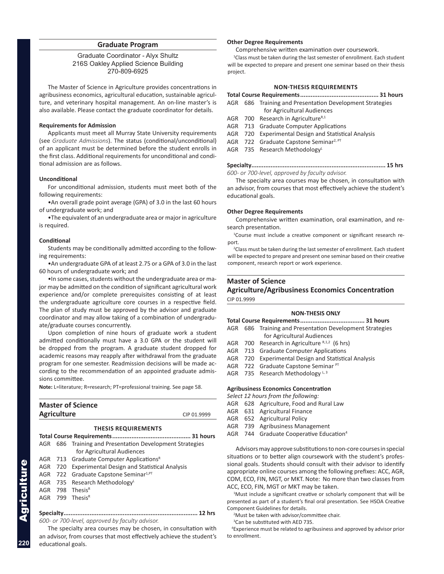#### **Graduate Program**

#### Graduate Coordinator - Alyx Shultz 216S Oakley Applied Science Building 270-809-6925

The Master of Science in Agriculture provides concentrations in agribusiness economics, agricultural education, sustainable agriculture, and veterinary hospital management. An on-line master's is also available. Please contact the graduate coordinator for details.

#### **Requirements for Admission**

Applicants must meet all Murray State University requirements (see *Graduate Admissions*). The status (conditional/unconditional) of an applicant must be determined before the student enrolls in the first class. Additional requirements for unconditional and conditional admission are as follows.

#### **Unconditional**

For unconditional admission, students must meet both of the following requirements:

•An overall grade point average (GPA) of 3.0 in the last 60 hours of undergraduate work; and

•The equivalent of an undergraduate area or major in agriculture is required.

#### **Conditional**

Students may be conditionally admitted according to the following requirements:

•An undergraduate GPA of at least 2.75 or a GPA of 3.0 in the last 60 hours of undergraduate work; and

•In some cases, students without the undergraduate area or major may be admitted on the condition of significant agricultural work experience and/or complete prerequisites consisting of at least the undergraduate agriculture core courses in a respective field. The plan of study must be approved by the advisor and graduate coordinator and may allow taking of a combination of undergraduate/graduate courses concurrently.

Upon completion of nine hours of graduate work a student admitted conditionally must have a 3.0 GPA or the student will be dropped from the program. A graduate student dropped for academic reasons may reapply after withdrawal from the graduate program for one semester. Readmission decisions will be made according to the recommendation of an appointed graduate admissions committee.

**Note:** L=literature; R=research; PT=professional training. See page 58.

| <b>Master of Science</b><br><b>Agriculture</b><br>CIP 01.9999 |                                                          |  |  |  |
|---------------------------------------------------------------|----------------------------------------------------------|--|--|--|
|                                                               | <b>THESIS REQUIREMENTS</b>                               |  |  |  |
|                                                               |                                                          |  |  |  |
|                                                               | AGR 686 Training and Presentation Development Strategies |  |  |  |
|                                                               | for Agricultural Audiences                               |  |  |  |
|                                                               | AGR 713 Graduate Computer Applications <sup>R</sup>      |  |  |  |

|  | $\frac{1}{2}$ $\frac{1}{2}$ $\frac{1}{2}$ $\frac{1}{2}$ $\frac{1}{2}$ $\frac{1}{2}$ $\frac{1}{2}$ $\frac{1}{2}$ $\frac{1}{2}$ $\frac{1}{2}$ $\frac{1}{2}$ $\frac{1}{2}$ $\frac{1}{2}$ $\frac{1}{2}$ $\frac{1}{2}$ $\frac{1}{2}$ $\frac{1}{2}$ $\frac{1}{2}$ $\frac{1}{2}$ $\frac{1}{2}$ $\frac{1}{2}$ $\frac{1}{2}$ |
|--|---------------------------------------------------------------------------------------------------------------------------------------------------------------------------------------------------------------------------------------------------------------------------------------------------------------------|
|  | AGR 720 Experimental Design and Statistical Analysis                                                                                                                                                                                                                                                                |

- AGR 722 Graduate Capstone Seminar<sup>1, PT</sup>
- AGR 735 Research Methodology
- AGR 798 ThesisR
- AGR 799 ThesisR

#### **Specialty............................................................................. 12 hrs** *600- or 700-level, approved by faculty advisor.*

The specialty area courses may be chosen, in consultation with an advisor, from courses that most effectively achieve the student's educational goals.

#### **Other Degree Requirements**

Comprehensive written examination over coursework.

<sup>1</sup>Class must be taken during the last semester of enrollment. Each student will be expected to prepare and present one seminar based on their thesis project.

#### **NON-THESIS REQUIREMENTS**

#### **Total Course Requirements............................................. 31 hours** AGR 686 Training and Presentation Development Strategies

- for Agricultural Audiences
- AGR 700 Research in Agriculture $R,1$
- AGR 713 Graduate Computer Applications
- AGR 720 Experimental Design and Statistical Analysis
- AGR 722 Graduate Capstone Seminar<sup>2, PT</sup>
- AGR 735 Research Methodology

**Specialty............................................................................. 15 hrs** *600- or 700-level, approved by faculty advisor.*

The specialty area courses may be chosen, in consultation with an advisor, from courses that most effectively achieve the student's educational goals.

#### **Other Degree Requirements**

Comprehensive written examination, oral examination, and research presentation.

 <sup>1</sup> Course must include a creative component or significant research report.

<sup>2</sup>Class must be taken during the last semester of enrollment. Each student will be expected to prepare and present one seminar based on their creative component, research report or work experience.

# **Master of Science Agriculture/Agribusiness Economics Concentration**

CIP 01.9999

#### **NON-THESIS ONLY**

| AGR                                         |  | 686 Training and Presentation Development Strategies |  |  |
|---------------------------------------------|--|------------------------------------------------------|--|--|
|                                             |  | for Agricultural Audiences                           |  |  |
|                                             |  | AGR 700 Research in Agriculture $R,1,2$ (6 hrs)      |  |  |
|                                             |  | AGR 713 Graduate Computer Applications               |  |  |
|                                             |  | AGR 720 Experimental Design and Statistical Analysis |  |  |
|                                             |  | AGR 722 Graduate Capstone Seminar PT                 |  |  |
|                                             |  | AGR 735 Research Methodology L, 3                    |  |  |
|                                             |  |                                                      |  |  |
| <b>Agribusiness Economics Concentration</b> |  |                                                      |  |  |

*Select 12 hours from the following:*

- AGR 628 Agriculture, Food and Rural Law
- AGR 631 Agricultural Finance
- AGR 652 Agricultural Policy
- AGR 739 Agribusiness Management
- AGR 744 Graduate Cooperative Education<sup>4</sup>

Advisors may approve substitutions to non-core courses in special situations or to better align coursework with the student's professional goals. Students should consult with their advisor to identify appropriate online courses among the following prefixes: ACC, AGR, COM, ECO, FIN, MGT, or MKT. Note: No more than two classes from ACC, ECO, FIN, MGT or MKT may be taken.

<sup>1</sup>Must include a significant creative or scholarly component that will be presented as part of a student's final oral presentation. See HSOA Creative Component Guidelines for details.

2 Must be taken with advisor/committee chair.

<sup>3</sup>Can be substituted with AED 735.

 <sup>4</sup> Experience must be related to agribusiness and approved by advisor prior to enrollment.

**220**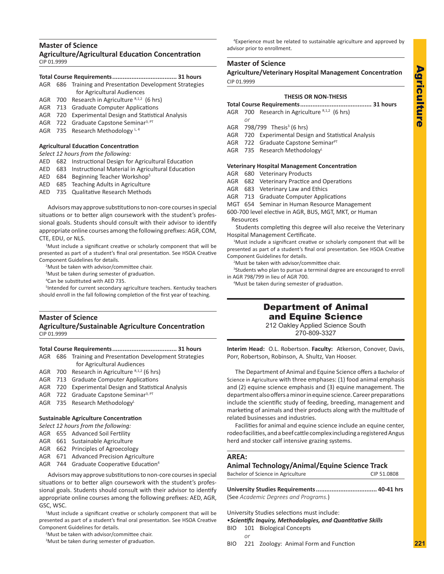# **Master of Science**

**Agriculture/Agricultural Education Concentration** CIP 01.9999

### **Total Course Requirements..................................... 31 hours**

- AGR 686 Training and Presentation Development Strategies for Agricultural Audiences
- AGR 700 Research in Agriculture  $R,1,2$  (6 hrs)
- AGR 713 Graduate Computer Applications
- AGR 720 Experimental Design and Statistical Analysis
- AGR 722 Graduate Capstone Seminar<sup>3, PT</sup>
- AGR 735 Research Methodology  $L, 4$

# **Agricultural Education Concentration**

# *Select 12 hours from the following:*

- AED 682 Instructional Design for Agricultural Education
- AED 683 Instructional Material in Agricultural Education
- AED 684 Beginning Teacher Workshop5
- AED 685 Teaching Adults in Agriculture

AED 735 Qualitative Research Methods

Advisors may approve substitutions to non-core courses in special situations or to better align coursework with the student's professional goals. Students should consult with their advisor to identify appropriate online courses among the following prefixes: AGR, COM, CTE, EDU, or NLS.

<sup>1</sup>Must include a significant creative or scholarly component that will be presented as part of a student's final oral presentation. See HSOA Creative Component Guidelines for details.

2 Must be taken with advisor/committee chair.

<sup>3</sup>Must be taken during semester of graduation.

4 Can be substituted with AED 735.

5 Intended for current secondary agriculture teachers. Kentucky teachers should enroll in the fall following completion of the first year of teaching.

#### **Master of Science Agriculture/Sustainable Agriculture Concentration** CIP 01.9999

### **Total Course Requirements..................................... 31 hours**

AGR 686 Training and Presentation Development Strategies for Agricultural Audiences

- AGR 700 Research in Agriculture  $R,1,2$  (6 hrs)
- AGR 713 Graduate Computer Applications
- AGR 720 Experimental Design and Statistical Analysis
- AGR 722 Graduate Capstone Seminar<sup>3, PT</sup>
- AGR 735 Research Methodology<sup>L</sup>

# **Sustainable Agriculture Concentration**

- *Select 12 hours from the following:*
- AGR 655 Advanced Soil Fertility
- AGR 661 Sustainable Agriculture
- AGR 662 Principles of Agroecology
- AGR 671 Advanced Precision Agriculture
- AGR 744 Graduate Cooperative Education<sup>4</sup>

Advisors may approve substitutions to non-core courses in special situations or to better align coursework with the student's professional goals. Students should consult with their advisor to identify appropriate online courses among the following prefixes: AED, AGR, GSC, WSC.

<sup>1</sup>Must include a significant creative or scholarly component that will be presented as part of a student's final oral presentation. See HSOA Creative Component Guidelines for details.

2 Must be taken with advisor/committee chair.

<sup>3</sup>Must be taken during semester of graduation.

 <sup>4</sup> Experience must be related to sustainable agriculture and approved by advisor prior to enrollment.

# **Master of Science**

**Agriculture/Veterinary Hospital Management Concentration** CIP 01.9999

#### **THESIS OR NON-THESIS**

- **Total Course Requirements......................................... 31 hours**
- AGR 700 Research in Agriculture  $R,1,2$  (6 hrs)
- *or* AGR 798/799 Thesis<sup>3</sup> (6 hrs)
- AGR 720 Experimental Design and Statistical Analysis
- AGR 722 Graduate Capstone Seminar<sup>PT</sup>
- AGR 735 Research Methodology

#### **Veterinary Hospital Management Concentration**

- AGR 680 Veterinary Products
- AGR 682 Veterinary Practice and Operations
- AGR 683 Veterinary Law and Ethics
- AGR 713 Graduate Computer Applications
- MGT 654 Seminar in Human Resource Management
- 600-700 level elective in AGR, BUS, MGT, MKT, or Human Resources

Students completing this degree will also receive the Veterinary Hospital Management Certificate.

<sup>1</sup>Must include a significant creative or scholarly component that will be presented as part of a student's final oral presentation. See HSOA Creative Component Guidelines for details.

2 Must be taken with advisor/committee chair.

<sup>3</sup>Students who plan to pursue a terminal degree are encouraged to enroll in AGR 798/799 in lieu of AGR 700.

4 Must be taken during semester of graduation.

# Department of Animal and Equine Science

212 Oakley Applied Science South 270-809-3327

**Interim Head:** O.L. Robertson. **Faculty:** Atkerson, Conover, Davis, Porr, Robertson, Robinson, A. Shultz, Van Hooser.

The Department of Animal and Equine Science offers a Bachelor of Science in Agriculture with three emphases: (1) food animal emphasis and (2) equine science emphasis and (3) equine management. The department also offers a minor in equine science. Career preparations include the scientific study of feeding, breeding, management and marketing of animals and their products along with the multitude of related businesses and industries.

Facilities for animal and equine science include an equine center, rodeo facilities, and a beef cattle complex including a registered Angus herd and stocker calf intensive grazing systems.

# **AREA:**

### **Animal Technology/Animal/Equine Science Track**

Bachelor of Science in Agriculture CIP 51.0808

**University Studies Requirements................................... 40-41 hrs** (See *Academic Degrees and Programs.*)

University Studies selections must include:

•*Scientific Inquiry, Methodologies, and Quantitative Skills*

- BIO 101 Biological Concepts *or*
- BIO 221 Zoology: Animal Form and Function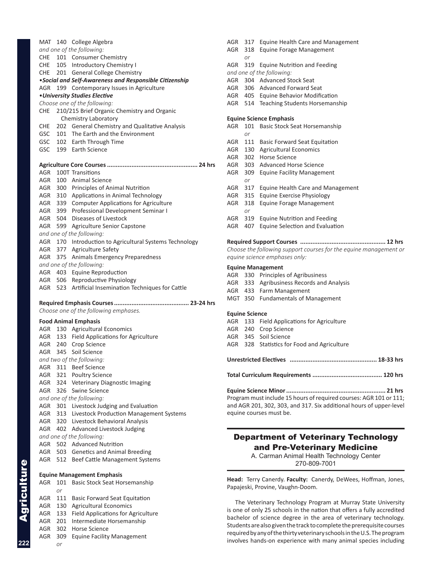|            |            | and one of the following:                                        |
|------------|------------|------------------------------------------------------------------|
| CHE        |            | 101 Consumer Chemistry                                           |
| CHE        |            | 105 Introductory Chemistry I                                     |
| CHE        |            | 201 General College Chemistry                                    |
|            |            | . Social and Self-Awareness and Responsible Citizenship          |
| AGR        | 199        | Contemporary Issues in Agriculture                               |
|            |            | • University Studies Elective                                    |
|            |            | Choose one of the following:                                     |
| <b>CHE</b> |            | 210/215 Brief Organic Chemistry and Organic                      |
|            |            | Chemistry Laboratory                                             |
| CHE        |            | 202 General Chemistry and Qualitative Analysis                   |
| GSC        |            | 101 The Earth and the Environment                                |
|            |            | GSC 102 Earth Through Time                                       |
| GSC        |            | 199 Earth Science                                                |
|            |            |                                                                  |
|            |            |                                                                  |
| AGR        |            | 100T Transitions                                                 |
| AGR        |            | 100 Animal Science                                               |
| AGR        |            | 300 Principles of Animal Nutrition                               |
|            |            | AGR 310 Applications in Animal Technology                        |
| AGR        |            | 339 Computer Applications for Agriculture                        |
|            |            | AGR 399 Professional Development Seminar I                       |
|            |            | AGR 504 Diseases of Livestock                                    |
|            |            | AGR 599 Agriculture Senior Capstone                              |
|            |            | and one of the following:                                        |
|            |            | AGR 170 Introduction to Agricultural Systems Technology          |
| AGR        |            | AGR 377 Agriculture Safety<br>375 Animals Emergency Preparedness |
|            |            | and one of the following:                                        |
|            |            | AGR 403 Equine Reproduction                                      |
|            |            | AGR 506 Reproductive Physiology                                  |
|            |            |                                                                  |
|            |            | AGR 523 Artificial Insemination Techniques for Cattle            |
|            |            |                                                                  |
|            |            | Choose one of the following emphases.                            |
|            |            | <b>Food Animal Emphasis</b>                                      |
| AGR        |            | 130 Agricultural Economics                                       |
|            |            | AGR 133 Field Applications for Agriculture                       |
|            |            | AGR 240 Crop Science                                             |
|            |            | AGR 345 Soil Science                                             |
|            |            | and two of the following:<br>AGR 311 Beef Science                |
| AGR        | 321        |                                                                  |
| AGR        |            | <b>Poultry Science</b>                                           |
| AGR        | 326        | 324 Veterinary Diagnostic Imaging<br><b>Swine Science</b>        |
|            |            | and one of the following:                                        |
| AGR        |            | 301 Livestock Judging and Evaluation                             |
| AGR        |            | 313 Livestock Production Management Systems                      |
| AGR        |            | 320 Livestock Behavioral Analysis                                |
| AGR        |            | 402 Advanced Livestock Judging                                   |
|            |            | and one of the following:                                        |
| AGR        |            | 502 Advanced Nutrition                                           |
| AGR        | 503        | <b>Genetics and Animal Breeding</b>                              |
| AGR        | 512        | Beef Cattle Management Systems                                   |
|            |            |                                                                  |
|            |            | <b>Equine Management Emphasis</b>                                |
| AGR        | 101        | Basic Stock Seat Horsemanship                                    |
|            | or         |                                                                  |
| AGR        | 111        | <b>Basic Forward Seat Equitation</b>                             |
| AGR        | 130        | <b>Agricultural Economics</b>                                    |
| AGR<br>AGR | 133<br>201 | Field Applications for Agriculture                               |
| AGR        | 302        | Intermediate Horsemanship<br><b>Horse Science</b>                |
| AGR        | 309        |                                                                  |
|            | or         | <b>Equine Facility Management</b>                                |

MAT 140 College Algebra

| AGR | 317            | <b>Equine Health Care and Management</b>                          |
|-----|----------------|-------------------------------------------------------------------|
| AGR | 318            | <b>Equine Forage Management</b>                                   |
|     | or             |                                                                   |
| AGR | 319            | <b>Equine Nutrition and Feeding</b>                               |
|     |                | and one of the following:                                         |
| AGR |                | 304 Advanced Stock Seat                                           |
| AGR | 306            | Advanced Forward Seat                                             |
|     |                | AGR 405 Equine Behavior Modification                              |
|     |                | AGR 514 Teaching Students Horsemanship                            |
|     |                | <b>Equine Science Emphasis</b>                                    |
| AGR | 101<br>or      | <b>Basic Stock Seat Horsemanship</b>                              |
| AGR |                | 111 Basic Forward Seat Equitation                                 |
| AGR |                | 130 Agricultural Economics                                        |
| AGR | 302            | Horse Science                                                     |
| AGR | 303            | <b>Advanced Horse Science</b>                                     |
| AGR | 309<br>or      | <b>Equine Facility Management</b>                                 |
| AGR | 317            | Equine Health Care and Management                                 |
| AGR | 315            | <b>Equine Exercise Physiology</b>                                 |
| AGR | 318<br>or      | <b>Equine Forage Management</b>                                   |
| AGR | 319            | <b>Equine Nutrition and Feeding</b>                               |
| AGR | 407            | <b>Equine Selection and Evaluation</b>                            |
|     |                | 12 hrs                                                            |
|     |                | Choose the following support courses for the equine management or |
|     |                | equine science emphases only:                                     |
|     |                | <b>Equine Management</b>                                          |
|     |                | AGR 330 Principles of Agribusiness                                |
|     |                | AGR 333 Agribusiness Records and Analysis                         |
|     |                | AGR 433 Farm Management                                           |
|     |                | MGT 350 Fundamentals of Management                                |
|     | Equino Coionco |                                                                   |

- **Equine Science**
- AGR 133 Field Applications for Agriculture
- AGR 240 Crop Science AGR 345 Soil Science
- AGR 328 Statistics for Food and Agriculture

**Unrestricted Electives .................................................. 18-33 hrs**

**Total Curriculum Requirements ........................................ 120 hrs**

**Equine Science Minor......................................................... 21 hrs** Program must include 15 hours of required courses: AGR 101 or 111; and AGR 201, 302, 303, and 317. Six additional hours of upper-level equine courses must be.

# Department of Veterinary Technology and Pre-Veterinary Medicine

A. Carman Animal Health Technology Center 270-809-7001

**Head:** Terry Canerdy. **Faculty:** Canerdy, DeWees, Hoffman, Jones, Papajeski, Provine, Vaughn-Doom.

The Veterinary Technology Program at Murray State University is one of only 25 schools in the nation that offers a fully accredited bachelor of science degree in the area of veterinary technology. Students are also given the track to complete the prerequisite courses required by any of the thirty veterinary schools in the U.S. The program involves hands-on experience with many animal species including

Agriculture

Agriculture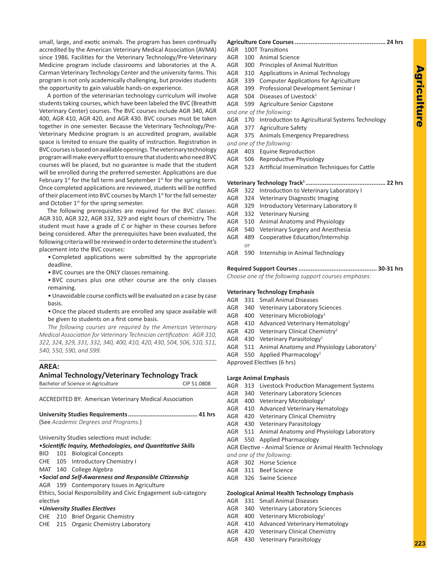small, large, and exotic animals. The program has been continually accredited by the American Veterinary Medical Association (AVMA) since 1986. Facilities for the Veterinary Technology/Pre-Veterinary Medicine program include classrooms and laboratories at the A. Carman Veterinary Technology Center and the university farms. This program is not only academically challenging, but provides students the opportunity to gain valuable hands-on experience.

A portion of the veterinarian technology curriculum will involve students taking courses, which have been labeled the BVC (Breathitt Veterinary Center) courses. The BVC courses include AGR 340, AGR 400, AGR 410, AGR 420, and AGR 430. BVC courses must be taken together in one semester. Because the Veterinary Technology/Pre-Veterinary Medicine program is an accredited program, available space is limited to ensure the quality of instruction. Registration in BVC courses is based on available openings. The veterinary technology program will make every effort to ensure that students who need BVC courses will be placed, but no guarantee is made that the student will be enrolled during the preferred semester. Applications are due February  $1^{st}$  for the fall term and September  $1^{st}$  for the spring term. Once completed applications are reviewed, students will be notified of their placement into BVC courses by March 1st for the fall semester and October 1<sup>st</sup> for the spring semester.

The following prerequisites are required for the BVC classes: AGR 310, AGR 322, AGR 332, 329 and eight hours of chemistry. The student must have a grade of *C* or higher in these courses before being considered. After the prerequisites have been evaluated, the following criteria will be reviewed in order to determine the student's placement into the BVC courses:

• Completed applications were submitted by the appropriate deadline.

• BVC courses are the ONLY classes remaining.

• BVC courses plus one other course are the only classes remaining.

• Unavoidable course conflicts will be evaluated on a case by case basis.

• Once the placed students are enrolled any space available will be given to students on a first come basis.

*The following courses are required by the American Veterinary Medical Association for Veterinary Technician certification:**AGR 310, 322, 324, 329, 331, 332, 340, 400, 410, 420, 430, 504, 506, 510, 511, 540, 550, 590, and 599.*

#### **AREA:**

#### **Animal Technology/Veterinary Technology Track** Bachelor of Science in Agriculture CIP 51.0808

ACCREDITED BY: American Veterinary Medical Association

(See *Academic Degrees and Programs.*)

University Studies selections must include:

# •*Scientific Inquiry, Methodologies, and Quantitative Skills*

BIO 101 Biological Concepts

CHE 105 Introductory Chemistry I

MAT 140 College Algebra

•*Social and Self-Awareness and Responsible Citizenship*

AGR 199 Contemporary Issues in Agriculture

Ethics, Social Responsibility and Civic Engagement sub-category elective

#### •*University Studies Electives*

CHE 210 Brief Organic Chemistry

CHE 215 Organic Chemistry Laboratory

# **Agriculture Core Courses.................................................... 24 hrs** AGR 100T Transitions

AGR 100 Animal Science

- AGR 300 Principles of Animal Nutrition
- AGR 310 Applications in Animal Technology
- AGR 339 Computer Applications for Agriculture
- AGR 399 Professional Development Seminar I
- AGR 504 Diseases of Livestock<sup>1</sup>
- AGR 599 Agriculture Senior Capstone
- *and one of the following:*
- AGR 170 Introduction to Agricultural Systems Technology
- AGR 377 Agriculture Safety
- AGR 375 Animals Emergency Preparedness
- *and one of the following:*
- AGR 403 Equine Reproduction
- AGR 506 Reproductive Physiology
- AGR 523 Artificial Insemination Techniques for Cattle

|  |        | AGR 322 Introduction to Veterinary Laboratory I |
|--|--------|-------------------------------------------------|
|  |        | AGR 324 Veterinary Diagnostic Imaging           |
|  |        | AGR 329 Introductory Veterinary Laboratory II   |
|  |        | AGR 332 Veterinary Nursing                      |
|  |        | AGR 510 Animal Anatomy and Physiology           |
|  |        | AGR 540 Veterinary Surgery and Anesthesia       |
|  |        | AGR 489 Cooperative Education/Internship        |
|  | $\sim$ |                                                 |

#### **Required Support Courses............................................. 30-31 hrs**

*Choose one of the following support courses emphases:*

#### **Veterinary Technology Emphasis**

|  | AGR 331 Small Animal Diseases                                 |
|--|---------------------------------------------------------------|
|  | AGR 340 Veterinary Laboratory Sciences                        |
|  | AGR 400 Veterinary Microbiology <sup>1</sup>                  |
|  | AGR 410 Advanced Veterinary Hematology <sup>1</sup>           |
|  | AGR $\,$ 420 Veterinary Clinical Chemistry <sup>1</sup>       |
|  | AGR 430 Veterinary Parasitology <sup>1</sup>                  |
|  | AGR 511 Animal Anatomy and Physiology Laboratory <sup>1</sup> |
|  | AGR 550 Applied Pharmacology <sup>1</sup>                     |
|  |                                                               |

Approved Electives (6 hrs)

#### **Large Animal Emphasis**

- AGR 313 Livestock Production Management Systems
- AGR 340 Veterinary Laboratory Sciences
- AGR 400 Veterinary Microbiology<sup>1</sup>
- AGR 410 Advanced Veterinary Hematology
- AGR 420 Veterinary Clinical Chemistry
- AGR 430 Veterinary Parasitology
- AGR 511 Animal Anatomy and Physiology Laboratory
- AGR 550 Applied Pharmacology

AGR Elective - Animal Science or Animal Health Technology

- *and one of the following:*
- AGR 302 Horse Science
- AGR 311 Beef Science
- AGR 326 Swine Science

#### **Zoological Animal Health Technology Emphasis**

- AGR 331 Small Animal Diseases
- AGR 340 Veterinary Laboratory Sciences
- AGR 400 Veterinary Microbiology1
- AGR 410 Advanced Veterinary Hematology
- AGR 420 Veterinary Clinical Chemistry
- AGR 430 Veterinary Parasitology
- *or*
- AGR 590 Internship in Animal Technology